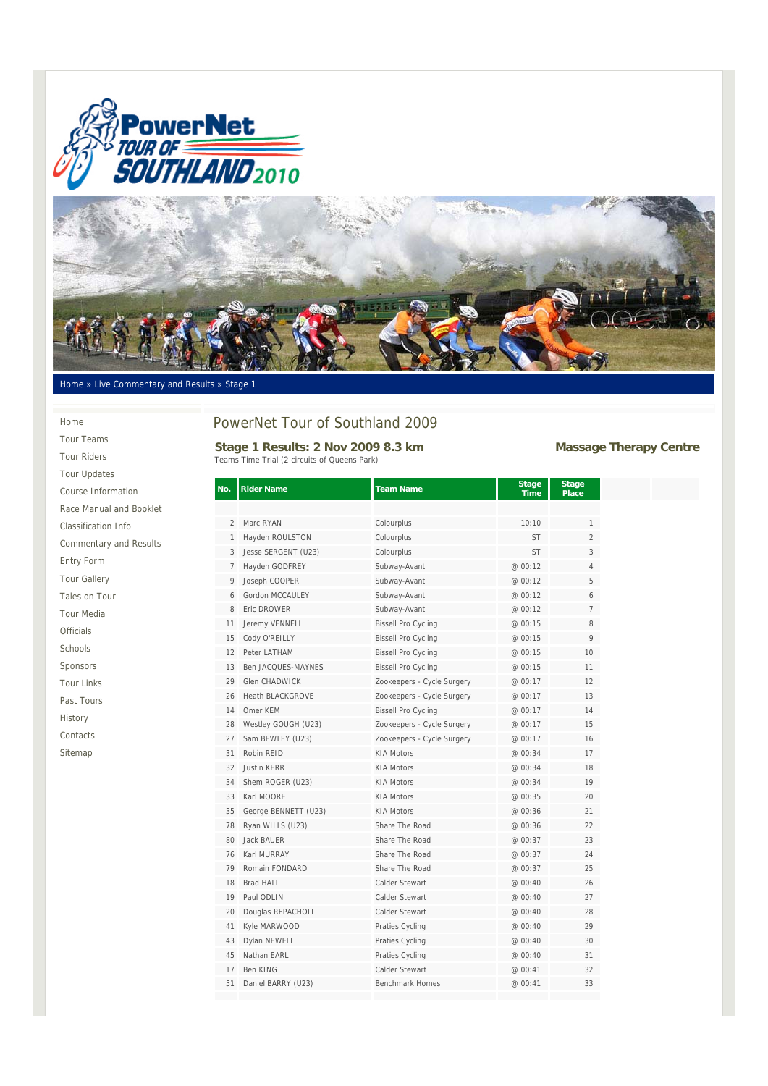



### Home » Live Commentary and Results » Stage 1

### Home

Tour Teams Tour Riders Tour Updates Course Information Race Manual and Booklet Classification Info Commentary and Results Entry Form Tour Gallery Tales on Tour Tour Media Officials Schools Sponsors Tour Links Past Tours History Contacts Sitemap

# PowerNet Tour of Southland 2009

Stage 1 Results: 2 Nov 2009 8.3 km<br>
Massage Therapy Centre Teams Time Trial (2 circuits of Queens Park)

| No. | <b>Rider Name</b>       | <b>Team Name</b>           | <b>Stage</b> | <b>Stage</b><br><b>Place</b> |
|-----|-------------------------|----------------------------|--------------|------------------------------|
|     |                         |                            | Time         |                              |
| 2   | Marc RYAN               | Colourplus                 | 10:10        | 1                            |
| 1   | Hayden ROULSTON         | Colourplus                 | <b>ST</b>    | $\overline{2}$               |
| 3   | Jesse SERGENT (U23)     | Colourplus                 | <b>ST</b>    | 3                            |
| 7   | Hayden GODFREY          | Subway-Avanti              | @ 00:12      | 4                            |
| 9   | Joseph COOPER           | Subway-Avanti              | @ 00:12      | 5                            |
| 6   | Gordon MCCAULEY         | Subway-Avanti              | @ 00:12      | 6                            |
| 8   | Fric DROWFR             | Subway-Avanti              | @ 00:12      | $\overline{7}$               |
| 11  | Jeremy VENNELL          | <b>Bissell Pro Cycling</b> | @ 00:15      | 8                            |
| 15  | Cody O'REILLY           | <b>Bissell Pro Cycling</b> | @ 00:15      | 9                            |
| 12  | Peter LATHAM            | <b>Bissell Pro Cycling</b> | @ 00:15      | 10                           |
| 13  | Ben JACQUES-MAYNES      | <b>Bissell Pro Cycling</b> | @ 00:15      | 11                           |
| 29  | Glen CHADWICK           | Zookeepers - Cycle Surgery | @ 00:17      | 12                           |
| 26  | <b>Heath BLACKGROVE</b> | Zookeepers - Cycle Surgery | @ 00:17      | 13                           |
| 14  | Omer KEM                | <b>Bissell Pro Cycling</b> | @ 00:17      | 14                           |
| 28  | Westley GOUGH (U23)     | Zookeepers - Cycle Surgery | @ 00:17      | 15                           |
| 27  | Sam BEWLEY (U23)        | Zookeepers - Cycle Surgery | @ 00:17      | 16                           |
| 31  | Robin REID              | <b>KIA Motors</b>          | @ 00:34      | 17                           |
| 32  | <b>Justin KERR</b>      | <b>KIA Motors</b>          | @ 00:34      | 18                           |
| 34  | Shem ROGER (U23)        | <b>KIA Motors</b>          | @ 00:34      | 19                           |
| 33  | Karl MOORE              | <b>KIA Motors</b>          | @ 00:35      | 20                           |
| 35  | George BENNETT (U23)    | <b>KIA Motors</b>          | @ 00:36      | 21                           |
| 78  | Ryan WILLS (U23)        | Share The Road             | @ 00:36      | 22                           |
| 80  | <b>Jack BAUER</b>       | Share The Road             | @ 00:37      | 23                           |
| 76  | Karl MURRAY             | Share The Road             | @ 00:37      | 24                           |
| 79  | Romain FONDARD          | Share The Road             | @ 00:37      | 25                           |
| 18  | <b>Brad HALL</b>        | Calder Stewart             | @ 00:40      | 26                           |
| 19  | Paul ODLIN              | Calder Stewart             | @ 00:40      | 27                           |
| 20  | Douglas REPACHOLI       | Calder Stewart             | @ 00:40      | 28                           |
| 41  | Kyle MARWOOD            | Praties Cycling            | @ 00:40      | 29                           |
| 43  | Dylan NEWELL            | Praties Cycling            | @ 00:40      | 30                           |
| 45  | Nathan EARL             | Praties Cycling            | @ 00:40      | 31                           |
| 17  | Ben KING                | Calder Stewart             | @ 00:41      | 32                           |
| 51  | Daniel BARRY (U23)      | <b>Benchmark Homes</b>     | @ 00:41      | 33                           |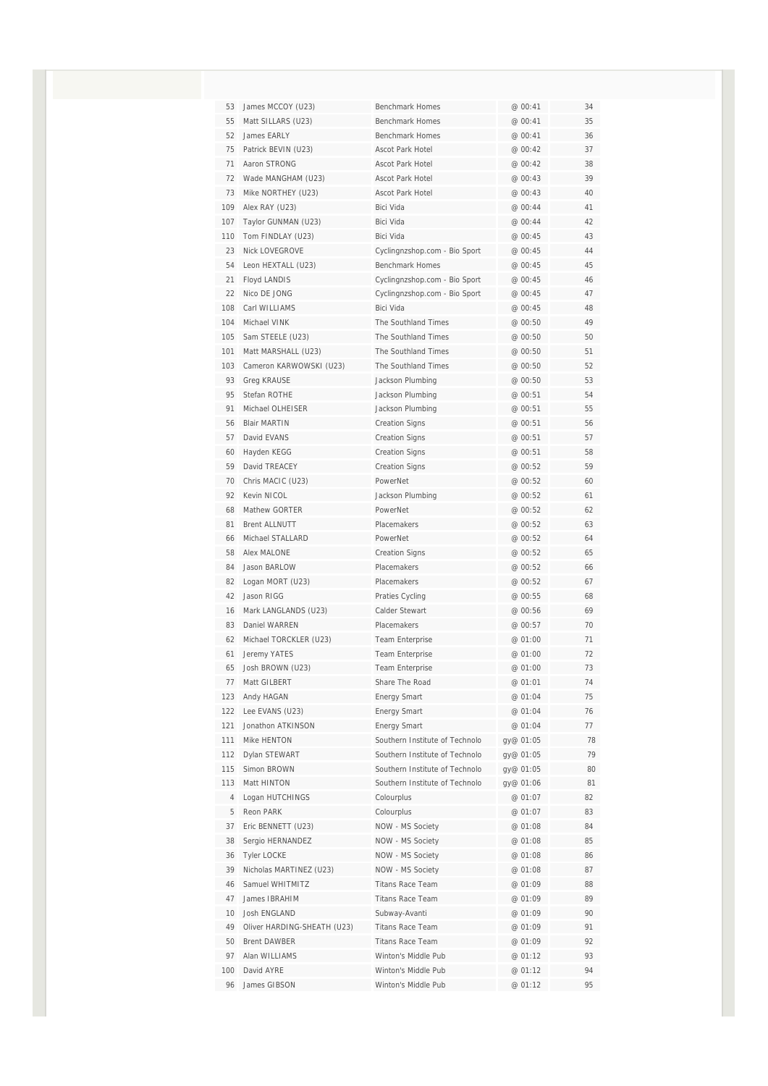| 53  | James MCCOY (U23)           | <b>Benchmark Homes</b>         | @ 00:41   | 34 |
|-----|-----------------------------|--------------------------------|-----------|----|
| 55  | Matt SILLARS (U23)          | <b>Benchmark Homes</b>         | @ 00:41   | 35 |
| 52  | James EARLY                 | <b>Benchmark Homes</b>         | @ 00:41   | 36 |
| 75  | Patrick BEVIN (U23)         | <b>Ascot Park Hotel</b>        | @ 00:42   | 37 |
| 71  | Aaron STRONG                | <b>Ascot Park Hotel</b>        | @ 00:42   | 38 |
| 72  | Wade MANGHAM (U23)          | Ascot Park Hotel               | @ 00:43   | 39 |
| 73  | Mike NORTHEY (U23)          | Ascot Park Hotel               | @ 00:43   | 40 |
| 109 | Alex RAY (U23)              | Bici Vida                      | @ 00:44   | 41 |
| 107 | Taylor GUNMAN (U23)         | Bici Vida                      | @ 00:44   | 42 |
| 110 | Tom FINDLAY (U23)           | Bici Vida                      | @ 00:45   | 43 |
| 23  | Nick LOVEGROVE              | Cyclingnzshop.com - Bio Sport  | @ 00:45   | 44 |
| 54  | Leon HEXTALL (U23)          | <b>Benchmark Homes</b>         | @ 00:45   | 45 |
| 21  | Floyd LANDIS                | Cyclingnzshop.com - Bio Sport  | @ 00:45   | 46 |
| 22  | Nico DE JONG                | Cyclingnzshop.com - Bio Sport  | @ 00:45   | 47 |
| 108 | Carl WILLIAMS               | Bici Vida                      | @ 00:45   | 48 |
| 104 | Michael VINK                | The Southland Times            | @00:50    | 49 |
| 105 | Sam STEELE (U23)            | The Southland Times            | @ 00:50   | 50 |
| 101 | Matt MARSHALL (U23)         | The Southland Times            | @ 00:50   | 51 |
| 103 | Cameron KARWOWSKI (U23)     | The Southland Times            | @ 00:50   | 52 |
| 93  | <b>Greg KRAUSE</b>          | Jackson Plumbing               | @00:50    | 53 |
| 95  | Stefan ROTHE                | Jackson Plumbing               | @ 00:51   | 54 |
| 91  | Michael OLHEISER            | Jackson Plumbing               | @ 00:51   | 55 |
| 56  | <b>Blair MARTIN</b>         | <b>Creation Signs</b>          | @ 00:51   | 56 |
| 57  | David EVANS                 | <b>Creation Signs</b>          | @ 00:51   | 57 |
| 60  | Hayden KEGG                 | <b>Creation Signs</b>          | @ 00:51   | 58 |
| 59  | David TREACEY               | <b>Creation Signs</b>          | @ 00:52   | 59 |
| 70  | Chris MACIC (U23)           | PowerNet                       | @ 00:52   | 60 |
| 92  | Kevin NICOL                 | Jackson Plumbing               | @ 00:52   | 61 |
| 68  | Mathew GORTER               | PowerNet                       | @ 00:52   | 62 |
| 81  | <b>Brent ALLNUTT</b>        | <b>Placemakers</b>             | @ 00:52   | 63 |
| 66  | Michael STALLARD            | PowerNet                       | @ 00:52   | 64 |
| 58  | Alex MALONE                 | <b>Creation Signs</b>          | @ 00:52   | 65 |
| 84  | Jason BARLOW                | <b>Placemakers</b>             | @ 00:52   | 66 |
| 82  | Logan MORT (U23)            | Placemakers                    | @ 00:52   | 67 |
| 42  | Jason RIGG                  | Praties Cycling                | @ 00:55   | 68 |
| 16  | Mark LANGLANDS (U23)        | Calder Stewart                 | @ 00:56   | 69 |
| 83  | Daniel WARREN               | <b>Placemakers</b>             | @ 00:57   | 70 |
| 62  | Michael TORCKLER (U23)      | Team Enterprise                | @ 01:00   | 71 |
| 61  | Jeremy YATES                | Team Enterprise                | @ 01:00   | 72 |
| 65  | Josh BROWN (U23)            | <b>Team Enterprise</b>         | @ 01:00   | 73 |
| 77  | Matt GILBERT                | Share The Road                 | @ 01:01   | 74 |
| 123 | Andy HAGAN                  | <b>Energy Smart</b>            | @ 01:04   | 75 |
| 122 | Lee EVANS (U23)             | Energy Smart                   | @ 01:04   | 76 |
| 121 | Jonathon ATKINSON           | Energy Smart                   | @ 01:04   | 77 |
| 111 | Mike HENTON                 | Southern Institute of Technolo | gy@ 01:05 | 78 |
| 112 | Dylan STEWART               | Southern Institute of Technolo | gy@ 01:05 | 79 |
| 115 | Simon BROWN                 | Southern Institute of Technolo | gy@ 01:05 | 80 |
| 113 | Matt HINTON                 | Southern Institute of Technolo | gy@ 01:06 | 81 |
| 4   | Logan HUTCHINGS             | Colourplus                     | @ 01:07   | 82 |
| 5   | Reon PARK                   | Colourplus                     | @ 01:07   | 83 |
| 37  | Eric BENNETT (U23)          | NOW - MS Society               | @ 01:08   | 84 |
| 38  | Sergio HERNANDEZ            | NOW - MS Society               | @ 01:08   | 85 |
| 36  | <b>Tyler LOCKE</b>          | NOW - MS Society               | @ 01:08   | 86 |
| 39  | Nicholas MARTINEZ (U23)     | NOW - MS Society               | @ 01:08   | 87 |
| 46  | Samuel WHITMITZ             | <b>Titans Race Team</b>        | @ 01:09   | 88 |
| 47  | James IBRAHIM               | <b>Titans Race Team</b>        | @ 01:09   | 89 |
| 10  | Josh ENGLAND                | Subway-Avanti                  | @ 01:09   | 90 |
| 49  | Oliver HARDING-SHEATH (U23) | <b>Titans Race Team</b>        | @ 01:09   | 91 |
| 50  | <b>Brent DAWBER</b>         | <b>Titans Race Team</b>        | @ 01:09   | 92 |
| 97  | Alan WILLIAMS               | Winton's Middle Pub            | @ 01:12   | 93 |
| 100 | David AYRE                  | Winton's Middle Pub            | @ 01:12   | 94 |
| 96  | James GIBSON                | Winton's Middle Pub            | @ 01:12   | 95 |
|     |                             |                                |           |    |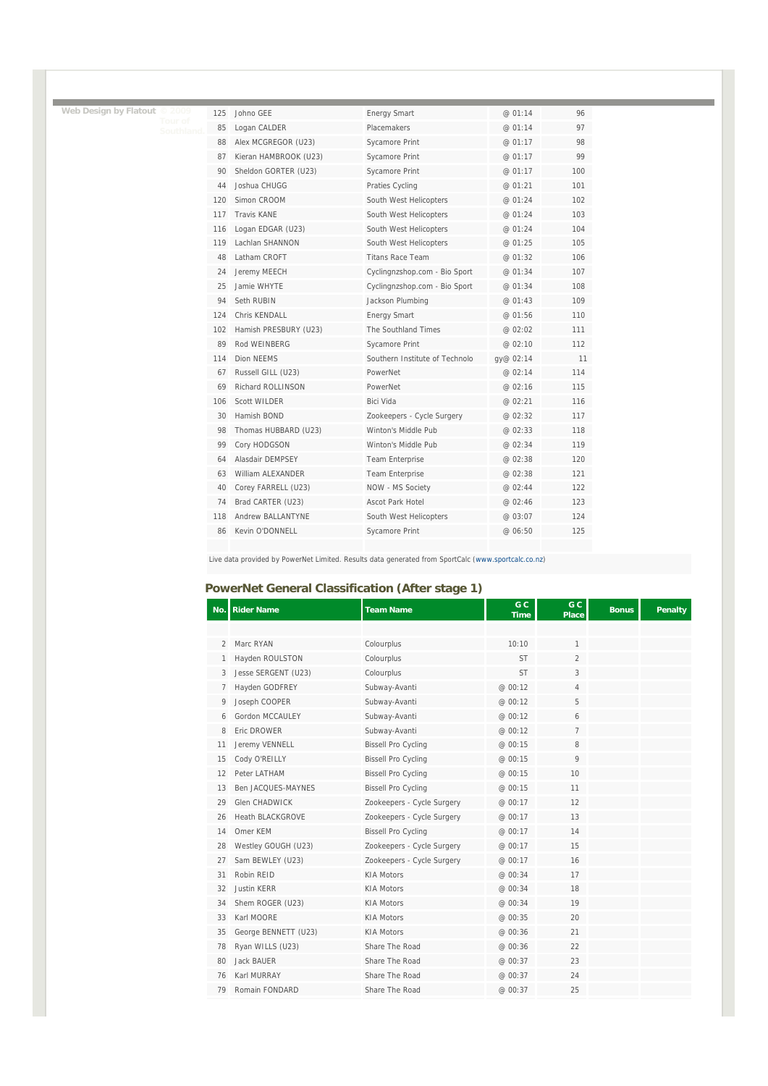| Web Design by Flatout | © 2009               | 125 | Johno GEE             | <b>Energy Smart</b>            | @ 01:14   | 96  |
|-----------------------|----------------------|-----|-----------------------|--------------------------------|-----------|-----|
|                       | Tour of<br>Southland | 85  | Logan CALDER          | Placemakers                    | @ 01:14   | 97  |
|                       |                      | 88  | Alex MCGREGOR (U23)   | Sycamore Print                 | @ 01:17   | 98  |
|                       |                      | 87  | Kieran HAMBROOK (U23) | Sycamore Print                 | @ 01:17   | 99  |
|                       |                      | 90  | Sheldon GORTER (U23)  | Sycamore Print                 | @ 01:17   | 100 |
|                       |                      | 44  | Joshua CHUGG          | Praties Cycling                | @ 01:21   | 101 |
|                       |                      | 120 | Simon CROOM           | South West Helicopters         | @ 01:24   | 102 |
|                       |                      | 117 | <b>Travis KANE</b>    | South West Helicopters         | @ 01:24   | 103 |
|                       |                      | 116 | Logan EDGAR (U23)     | South West Helicopters         | @ 01:24   | 104 |
|                       |                      | 119 | Lachlan SHANNON       | South West Helicopters         | @ 01:25   | 105 |
|                       |                      | 48  | Latham CROFT          | <b>Titans Race Team</b>        | @ 01:32   | 106 |
|                       |                      | 24  | Jeremy MEECH          | Cyclingnzshop.com - Bio Sport  | @ 01:34   | 107 |
|                       |                      | 25  | Jamie WHYTE           | Cyclingnzshop.com - Bio Sport  | @ 01:34   | 108 |
|                       |                      | 94  | Seth RUBIN            | Jackson Plumbing               | @ 01:43   | 109 |
|                       |                      | 124 | Chris KFNDALL         | <b>Energy Smart</b>            | @ 01:56   | 110 |
|                       |                      | 102 | Hamish PRESBURY (U23) | The Southland Times            | @ 02:02   | 111 |
|                       |                      | 89  | Rod WEINBERG          | Sycamore Print                 | @ 02:10   | 112 |
|                       |                      | 114 | <b>Dion NEEMS</b>     | Southern Institute of Technolo | gy@ 02:14 | 11  |
|                       |                      | 67  | Russell GILL (U23)    | PowerNet                       | @ 02:14   | 114 |
|                       |                      | 69  | Richard ROLLINSON     | PowerNet                       | @ 02:16   | 115 |
|                       |                      | 106 | <b>Scott WILDER</b>   | Bici Vida                      | @ 02:21   | 116 |
|                       |                      | 30  | Hamish BOND           | Zookeepers - Cycle Surgery     | @ 02:32   | 117 |
|                       |                      | 98  | Thomas HUBBARD (U23)  | Winton's Middle Pub            | @ 02:33   | 118 |
|                       |                      | 99  | Cory HODGSON          | Winton's Middle Pub            | @ 02:34   | 119 |
|                       |                      | 64  | Alasdair DEMPSEY      | <b>Team Enterprise</b>         | @ 02:38   | 120 |
|                       |                      | 63  | William ALEXANDER     | Team Enterprise                | @ 02:38   | 121 |
|                       |                      | 40  | Corey FARRELL (U23)   | NOW - MS Society               | @ 02:44   | 122 |
|                       |                      | 74  | Brad CARTER (U23)     | <b>Ascot Park Hotel</b>        | @ 02:46   | 123 |
|                       |                      | 118 | Andrew BALLANTYNE     | South West Helicopters         | @ 03:07   | 124 |
|                       |                      | 86  | Kevin O'DONNELL       | Sycamore Print                 | @ 06:50   | 125 |
|                       |                      |     |                       |                                |           |     |

and the state of the state of the

Live data provided by PowerNet Limited. Results data generated from SportCalc (www.sportcalc.co.nz)

### **PowerNet General Classification (After stage 1)**

| No. | <b>Rider Name</b>       | <b>Team Name</b>           | G <sub>C</sub><br><b>Time</b> | G C<br><b>Place</b> | <b>Bonus</b> | <b>Penalty</b> |
|-----|-------------------------|----------------------------|-------------------------------|---------------------|--------------|----------------|
|     |                         |                            |                               |                     |              |                |
| 2   | Marc RYAN               | Colourplus                 | 10:10                         | 1                   |              |                |
| 1   | Hayden ROULSTON         | Colourplus                 | <b>ST</b>                     | $\overline{2}$      |              |                |
| 3   | Jesse SERGENT (U23)     | Colourplus                 | <b>ST</b>                     | 3                   |              |                |
| 7   | Hayden GODFREY          | Subway-Avanti              | @ 00:12                       | 4                   |              |                |
| 9   | Joseph COOPER           | Subway-Avanti              | @ 00:12                       | 5                   |              |                |
| 6   | Gordon MCCAULFY         | Subway-Avanti              | @ 00:12                       | 6                   |              |                |
| 8   | Eric DROWER             | Subway-Avanti              | @ 00:12                       | $\overline{7}$      |              |                |
| 11  | Jeremy VENNELL          | <b>Bissell Pro Cycling</b> | @ 00:15                       | 8                   |              |                |
| 15  | Cody O'REILLY           | <b>Bissell Pro Cycling</b> | @ 00:15                       | 9                   |              |                |
| 12  | Peter LATHAM            | <b>Bissell Pro Cycling</b> | @ 00:15                       | 10                  |              |                |
| 13  | Ben JACQUES-MAYNES      | <b>Bissell Pro Cycling</b> | @ 00:15                       | 11                  |              |                |
| 29  | <b>Glen CHADWICK</b>    | Zookeepers - Cycle Surgery | @ 00:17                       | 12                  |              |                |
| 26  | <b>Heath BLACKGROVE</b> | Zookeepers - Cycle Surgery | @ 00:17                       | 13                  |              |                |
| 14  | Omer KEM                | <b>Bissell Pro Cycling</b> | @ 00:17                       | 14                  |              |                |
| 28  | Westley GOUGH (U23)     | Zookeepers - Cycle Surgery | @ 00:17                       | 15                  |              |                |
| 27  | Sam BEWLEY (U23)        | Zookeepers - Cycle Surgery | @ 00:17                       | 16                  |              |                |
| 31  | Robin REID              | <b>KIA Motors</b>          | @ 00:34                       | 17                  |              |                |
| 32  | <b>Justin KERR</b>      | <b>KIA Motors</b>          | @ 00:34                       | 18                  |              |                |
| 34  | Shem ROGER (U23)        | <b>KIA Motors</b>          | @ 00:34                       | 19                  |              |                |
| 33  | Karl MOORE              | <b>KIA Motors</b>          | @ 00:35                       | 20                  |              |                |
| 35  | George BENNETT (U23)    | <b>KIA Motors</b>          | @ 00:36                       | 21                  |              |                |
| 78  | Ryan WILLS (U23)        | Share The Road             | @ 00:36                       | 22                  |              |                |
| 80  | Jack BAUER              | Share The Road             | @ 00:37                       | 23                  |              |                |
| 76  | Karl MURRAY             | Share The Road             | @ 00:37                       | 24                  |              |                |
| 79  | Romain FONDARD          | Share The Road             | @ 00:37                       | 25                  |              |                |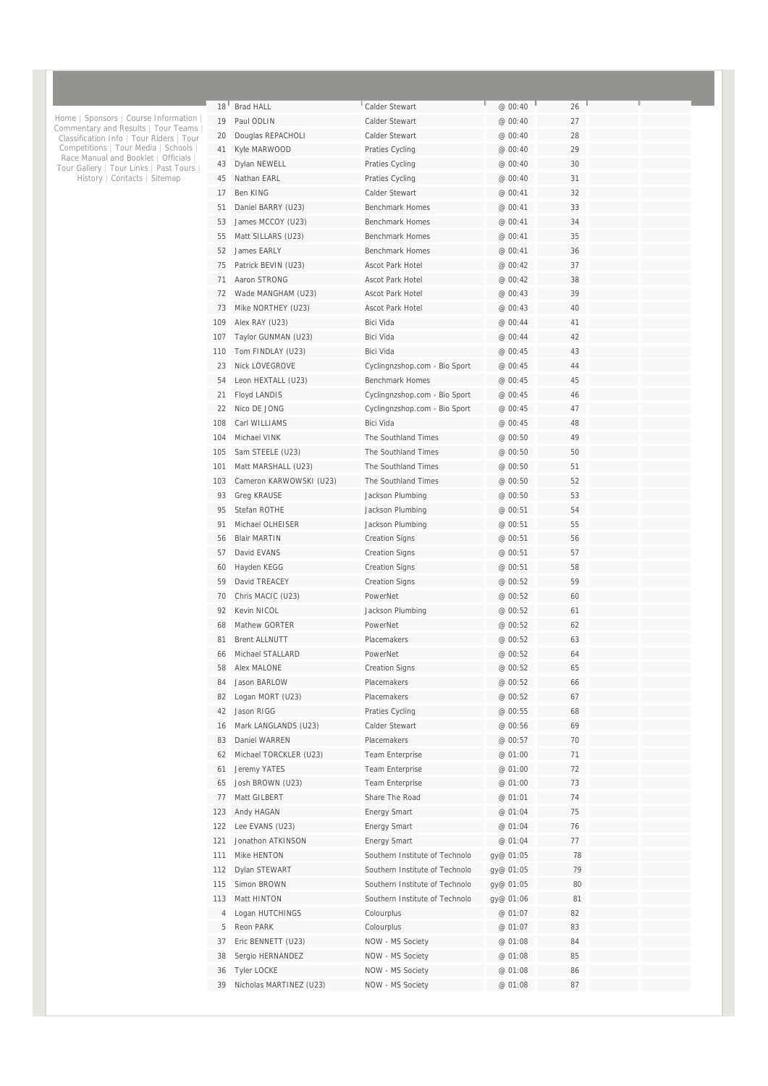| 18 <sup>1</sup> | <b>Brad HALL</b>        | Calder Stewart                 | @ 00:40   | 26 |  |
|-----------------|-------------------------|--------------------------------|-----------|----|--|
| 19              | Paul ODLIN              | Calder Stewart                 | @ 00:40   | 27 |  |
| 20              | Douglas REPACHOLI       | Calder Stewart                 | @ 00:40   | 28 |  |
| 41              | Kyle MARWOOD            | Praties Cycling                | @ 00:40   | 29 |  |
| 43              | Dylan NEWELL            | Praties Cycling                | @ 00:40   | 30 |  |
| 45              | Nathan EARL             | Praties Cycling                | @ 00:40   | 31 |  |
| 17              | <b>Ben KING</b>         | Calder Stewart                 | @ 00:41   | 32 |  |
| 51              | Daniel BARRY (U23)      | <b>Benchmark Homes</b>         | @ 00:41   | 33 |  |
| 53              | James MCCOY (U23)       | <b>Benchmark Homes</b>         | @ 00:41   | 34 |  |
| 55              | Matt SILLARS (U23)      | <b>Benchmark Homes</b>         | @ 00:41   | 35 |  |
| 52              | James EARLY             | <b>Benchmark Homes</b>         | @ 00:41   | 36 |  |
| 75              | Patrick BEVIN (U23)     | Ascot Park Hotel               | @ 00:42   | 37 |  |
| 71              | Aaron STRONG            | <b>Ascot Park Hotel</b>        | @ 00:42   | 38 |  |
| 72              | Wade MANGHAM (U23)      | Ascot Park Hotel               | @ 00:43   | 39 |  |
| 73              | Mike NORTHEY (U23)      | <b>Ascot Park Hotel</b>        | @ 00:43   | 40 |  |
| 109             | Alex RAY (U23)          | <b>Bici Vida</b>               | @ 00:44   | 41 |  |
| 107             | Taylor GUNMAN (U23)     | Bici Vida                      | @ 00:44   | 42 |  |
| 110             | Tom FINDLAY (U23)       | <b>Bici Vida</b>               | @ 00:45   | 43 |  |
| 23              | Nick LOVEGROVE          | Cyclingnzshop.com - Bio Sport  | @ 00:45   | 44 |  |
| 54              | Leon HEXTALL (U23)      | <b>Benchmark Homes</b>         | @ 00:45   | 45 |  |
| 21              | Floyd LANDIS            | Cyclingnzshop.com - Bio Sport  | @ 00:45   | 46 |  |
| 22              | Nico DF JONG            | Cyclingnzshop.com - Bio Sport  | @ 00:45   | 47 |  |
| 108             | Carl WILLIAMS           | Bici Vida                      | @ 00:45   | 48 |  |
| 104             | Michael VINK            | The Southland Times            | @ 00:50   | 49 |  |
| 105             | Sam STEELE (U23)        | The Southland Times            | @ 00:50   | 50 |  |
| 101             | Matt MARSHALL (U23)     | The Southland Times            | @ 00:50   | 51 |  |
| 103             | Cameron KARWOWSKI (U23) | The Southland Times            | @ 00:50   | 52 |  |
| 93              | <b>Greg KRAUSE</b>      | Jackson Plumbing               | @ 00:50   | 53 |  |
| 95              | Stefan ROTHE            | Jackson Plumbing               | @ 00:51   | 54 |  |
| 91              | Michael OLHEISER        | Jackson Plumbing               | @ 00:51   | 55 |  |
| 56              | <b>Blair MARTIN</b>     | <b>Creation Signs</b>          | @ 00:51   | 56 |  |
| 57              | David EVANS             | <b>Creation Signs</b>          | @ 00:51   | 57 |  |
| 60              | Hayden KEGG             | <b>Creation Signs</b>          | @ 00:51   | 58 |  |
| 59              | David TREACEY           | <b>Creation Signs</b>          | @ 00:52   | 59 |  |
| 70              | Chris MACIC (U23)       | PowerNet                       | @ 00:52   | 60 |  |
| 92              | Kevin NICOL             | Jackson Plumbing               | @ 00:52   | 61 |  |
| 68              | Mathew GORTER           | PowerNet                       | @ 00:52   | 62 |  |
| 81              | <b>Brent ALLNUTT</b>    | Placemakers                    | @ 00:52   | 63 |  |
| 66              | Michael STALLARD        | PowerNet                       | @ 00:52   | 64 |  |
| 58              | Alex MALONE             | Creation Signs                 | @ 00:52   | 65 |  |
| 84              | Jason BARLOW            | Placemakers                    | @ 00:52   | 66 |  |
| 82              | Logan MORT (U23)        | Placemakers                    | @ 00:52   | 67 |  |
| 42              | Jason RIGG              | Praties Cycling                | @ 00:55   | 68 |  |
| 16              | Mark LANGLANDS (U23)    | Calder Stewart                 | @ 00:56   | 69 |  |
| 83              | Daniel WARREN           | Placemakers                    | @ 00:57   | 70 |  |
| 62              | Michael TORCKLER (U23)  | <b>Team Enterprise</b>         | @ 01:00   | 71 |  |
| 61              | Jeremy YATES            | Team Enterprise                | @ 01:00   | 72 |  |
| 65              | Josh BROWN (U23)        | Team Enterprise                | @ 01:00   | 73 |  |
| 77              | Matt GILBERT            | Share The Road                 | @ 01:01   | 74 |  |
| 123             | Andy HAGAN              | <b>Energy Smart</b>            | @ 01:04   | 75 |  |
| 122             | Lee EVANS (U23)         | <b>Energy Smart</b>            | @ 01:04   | 76 |  |
| 121             | Jonathon ATKINSON       | <b>Energy Smart</b>            | @ 01:04   | 77 |  |
| 111             | Mike HENTON             | Southern Institute of Technolo | gy@ 01:05 | 78 |  |
| 112             | Dylan STEWART           | Southern Institute of Technolo | gy@ 01:05 | 79 |  |
| 115             | Simon BROWN             | Southern Institute of Technolo | gy@ 01:05 | 80 |  |
| 113             | Matt HINTON             | Southern Institute of Technolo | gy@ 01:06 | 81 |  |
| 4               | Logan HUTCHINGS         | Colourplus                     | @ 01:07   | 82 |  |
| 5               | Reon PARK               | Colourplus                     | @ 01:07   | 83 |  |
| 37              | Eric BENNETT (U23)      | NOW - MS Society               | @ 01:08   | 84 |  |
|                 |                         |                                |           |    |  |
| 38              | Sergio HERNANDEZ        | NOW - MS Society               | @ 01:08   | 85 |  |
| 36              | <b>Tyler LOCKE</b>      | NOW - MS Society               | @ 01:08   | 86 |  |

Home | Sponsors | Course Information |<br>Commentary and Results | Tour Teams |<br>Classification Info | Tour Riders | Tour<br>Competitions | Tour Media | Schools |<br>Race Manual and Booklet | Officials |<br>Tour Gallery | Tour Links |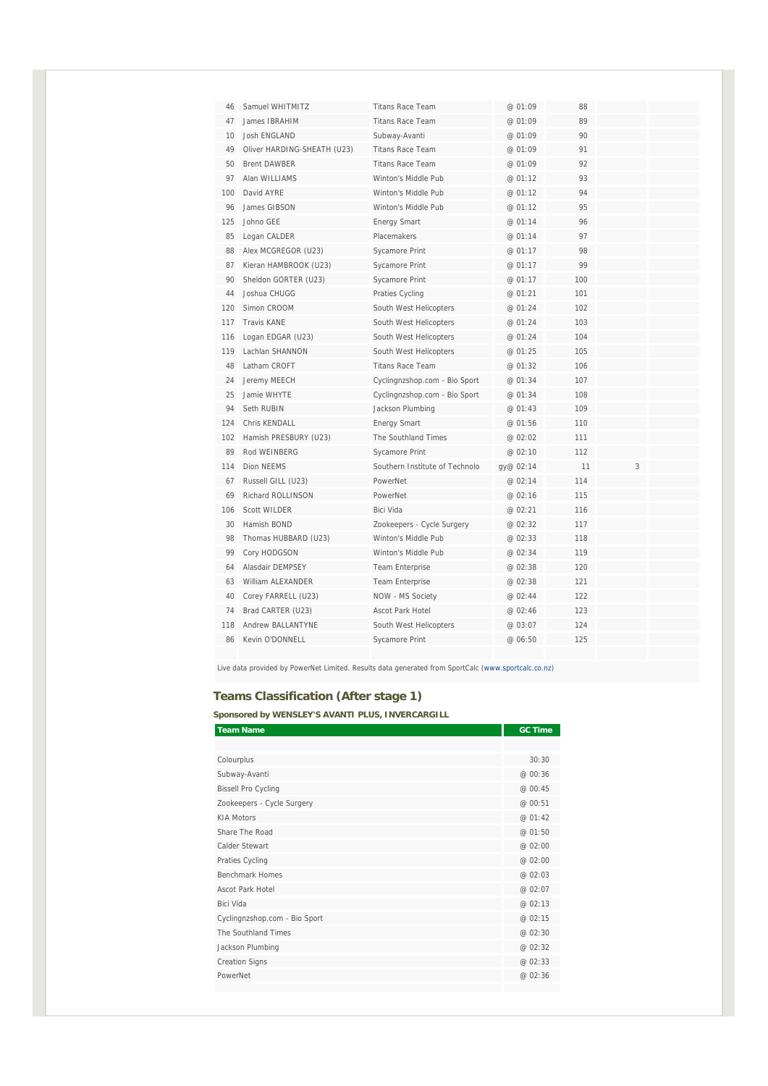| 46  | Samuel WHITMITZ             | <b>Titans Race Team</b>        | @ 01:09   | 88  |   |  |
|-----|-----------------------------|--------------------------------|-----------|-----|---|--|
| 47  | James IBRAHIM               | <b>Titans Race Team</b>        | @ 01:09   | 89  |   |  |
| 10  | <b>Josh ENGLAND</b>         | Subway-Avanti                  | @ 01:09   | 90  |   |  |
| 49  | Oliver HARDING-SHEATH (U23) | <b>Titans Race Team</b>        | @ 01:09   | 91  |   |  |
| 50  | <b>Brent DAWBER</b>         | <b>Titans Race Team</b>        | @ 01:09   | 92  |   |  |
| 97  | Alan WILLIAMS               | Winton's Middle Pub            | @ 01:12   | 93  |   |  |
| 100 | David AYRE                  | Winton's Middle Pub            | @ 01:12   | 94  |   |  |
| 96  | James GIBSON                | Winton's Middle Pub            | @ 01:12   | 95  |   |  |
| 125 | Johno GEE                   | <b>Energy Smart</b>            | @ 01:14   | 96  |   |  |
| 85  | Logan CALDER                | <b>Placemakers</b>             | @ 01:14   | 97  |   |  |
| 88  | Alex MCGREGOR (U23)         | Sycamore Print                 | @ 01:17   | 98  |   |  |
| 87  | Kieran HAMBROOK (U23)       | Sycamore Print                 | @01:17    | 99  |   |  |
| 90  | Sheldon GORTER (U23)        | Sycamore Print                 | @ 01:17   | 100 |   |  |
| 44  | Joshua CHUGG                | Praties Cycling                | @ 01:21   | 101 |   |  |
| 120 | Simon CROOM                 | South West Helicopters         | @ 01:24   | 102 |   |  |
| 117 | <b>Travis KANE</b>          | South West Helicopters         | @ 01:24   | 103 |   |  |
| 116 | Logan EDGAR (U23)           | South West Helicopters         | @ 01:24   | 104 |   |  |
| 119 | Lachlan SHANNON             | South West Helicopters         | @ 01:25   | 105 |   |  |
| 48  | Latham CROFT                | <b>Titans Race Team</b>        | @ 01:32   | 106 |   |  |
| 24  | Jeremy MEECH                | Cyclingnzshop.com - Bio Sport  | @ 01:34   | 107 |   |  |
| 25  | Jamie WHYTE                 | Cyclingnzshop.com - Bio Sport  | @ 01:34   | 108 |   |  |
| 94  | Seth RUBIN                  | Jackson Plumbing               | @ 01:43   | 109 |   |  |
| 124 | Chris KFNDALL               | <b>Energy Smart</b>            | @ 01:56   | 110 |   |  |
| 102 | Hamish PRESBURY (U23)       | The Southland Times            | @ 02:02   | 111 |   |  |
| 89  | Rod WFINBERG                | <b>Sycamore Print</b>          | @ 02:10   | 112 |   |  |
| 114 | Dion NEEMS                  | Southern Institute of Technolo | qy@ 02:14 | 11  | 3 |  |
| 67  | Russell GILL (U23)          | PowerNet                       | @ 02:14   | 114 |   |  |
| 69  | Richard ROLLINSON           | PowerNet                       | @ 02:16   | 115 |   |  |
| 106 | <b>Scott WILDER</b>         | <b>Bici Vida</b>               | @ 02:21   | 116 |   |  |
| 30  | Hamish BOND                 | Zookeepers - Cycle Surgery     | @ 02:32   | 117 |   |  |
| 98  | Thomas HUBBARD (U23)        | Winton's Middle Pub            | @ 02:33   | 118 |   |  |
| 99  | Cory HODGSON                | Winton's Middle Pub            | @ 02:34   | 119 |   |  |
| 64  | Alasdair DEMPSEY            | <b>Team Enterprise</b>         | @ 02:38   | 120 |   |  |
| 63  | William ALEXANDER           | <b>Team Enterprise</b>         | @ 02:38   | 121 |   |  |
| 40  | Corey FARRELL (U23)         | NOW - MS Society               | @ 02:44   | 122 |   |  |
| 74  | Brad CARTER (U23)           | Ascot Park Hotel               | @ 02:46   | 123 |   |  |
| 118 | <b>Andrew BALLANTYNE</b>    | South West Helicopters         | @ 03:07   | 124 |   |  |
| 86  | Kevin O'DONNELL             | Sycamore Print                 | @ 06:50   | 125 |   |  |
|     |                             |                                |           |     |   |  |

Live data provided by PowerNet Limited. Results data generated from SportCalc (www.sportcalc.co.nz)

### **Teams Classification (After stage 1)**

**Sponsored by WENSLEY'S AVANTI PLUS, INVERCARGILL** 

| <b>Team Name</b>              | <b>GC Time</b> |
|-------------------------------|----------------|
|                               |                |
| Colourplus                    | 30:30          |
| Subway-Avanti                 | @ 00:36        |
| <b>Bissell Pro Cycling</b>    | @ 00:45        |
| Zookeepers - Cycle Surgery    | @ 00:51        |
| <b>KIA Motors</b>             | @ 01:42        |
| Share The Road                | @ 01:50        |
| Calder Stewart                | @ 02:00        |
| Praties Cycling               | @ 02:00        |
| <b>Benchmark Homes</b>        | @ 02:03        |
| <b>Ascot Park Hotel</b>       | @ 02:07        |
| Bici Vida                     | @ 02:13        |
| Cyclingnzshop.com - Bio Sport | @ 02:15        |
| The Southland Times           | @ 02:30        |
| Jackson Plumbing              | @ 02:32        |
| <b>Creation Signs</b>         | @ 02:33        |
| PowerNet                      | @ 02:36        |
|                               |                |